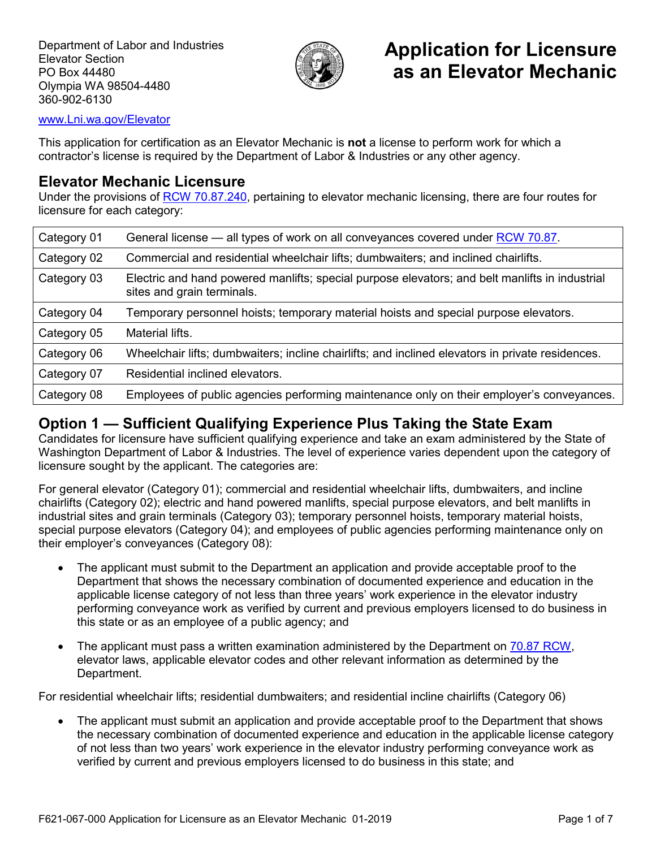

# **Application for Licensure as an Elevator Mechanic**

#### [www.Lni.wa.gov/Elevator](http://www.lni.wa.gov/Elevator)

This application for certification as an Elevator Mechanic is **not** a license to perform work for which a contractor's license is required by the Department of Labor & Industries or any other agency.

#### **Elevator Mechanic Licensure**

Under the provisions of [RCW 70.87.240,](https://app.leg.wa.gov/rcw/default.aspx?cite=70.87.240) pertaining to elevator mechanic licensing, there are four routes for licensure for each category:

| Category 01 | General license — all types of work on all conveyances covered under RCW 70.87.                                              |
|-------------|------------------------------------------------------------------------------------------------------------------------------|
| Category 02 | Commercial and residential wheelchair lifts; dumbwaiters; and inclined chairlifts.                                           |
| Category 03 | Electric and hand powered manlifts; special purpose elevators; and belt manlifts in industrial<br>sites and grain terminals. |
| Category 04 | Temporary personnel hoists; temporary material hoists and special purpose elevators.                                         |
| Category 05 | Material lifts.                                                                                                              |
| Category 06 | Wheelchair lifts; dumbwaiters; incline chairlifts; and inclined elevators in private residences.                             |
| Category 07 | Residential inclined elevators.                                                                                              |
| Category 08 | Employees of public agencies performing maintenance only on their employer's conveyances.                                    |

#### **Option 1 — Sufficient Qualifying Experience Plus Taking the State Exam**

Candidates for licensure have sufficient qualifying experience and take an exam administered by the State of Washington Department of Labor & Industries. The level of experience varies dependent upon the category of licensure sought by the applicant. The categories are:

For general elevator (Category 01); commercial and residential wheelchair lifts, dumbwaiters, and incline chairlifts (Category 02); electric and hand powered manlifts, special purpose elevators, and belt manlifts in industrial sites and grain terminals (Category 03); temporary personnel hoists, temporary material hoists, special purpose elevators (Category 04); and employees of public agencies performing maintenance only on their employer's conveyances (Category 08):

- The applicant must submit to the Department an application and provide acceptable proof to the Department that shows the necessary combination of documented experience and education in the applicable license category of not less than three years' work experience in the elevator industry performing conveyance work as verified by current and previous employers licensed to do business in this state or as an employee of a public agency; and
- The applicant must pass a written examination administered by the Department on [70.87 RCW,](https://app.leg.wa.gov/rcw/default.aspx?cite=70.87) elevator laws, applicable elevator codes and other relevant information as determined by the Department.

For residential wheelchair lifts; residential dumbwaiters; and residential incline chairlifts (Category 06)

The applicant must submit an application and provide acceptable proof to the Department that shows the necessary combination of documented experience and education in the applicable license category of not less than two years' work experience in the elevator industry performing conveyance work as verified by current and previous employers licensed to do business in this state; and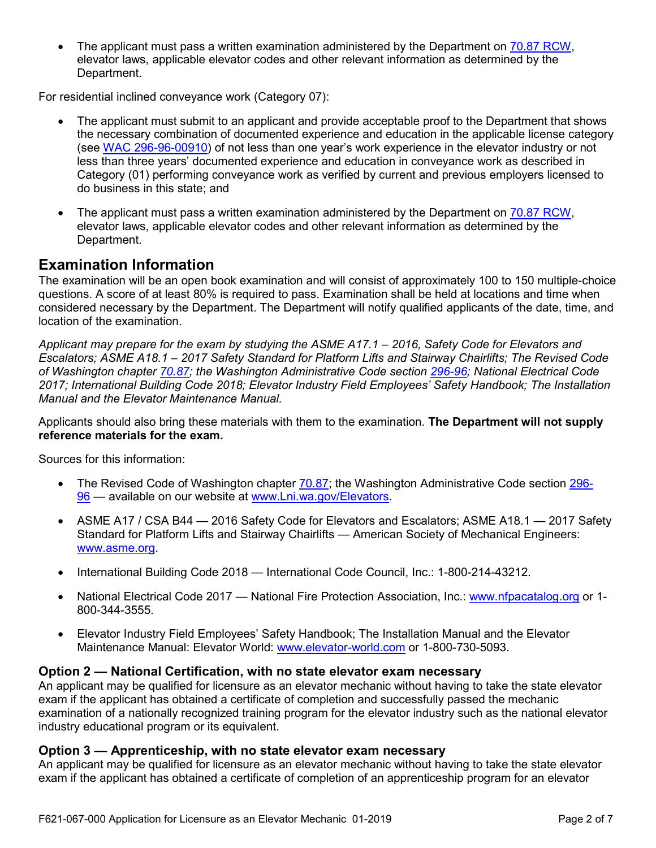The applicant must pass a written examination administered by the Department on [70.87 RCW,](https://app.leg.wa.gov/rcw/default.aspx?cite=70.87) elevator laws, applicable elevator codes and other relevant information as determined by the Department.

For residential inclined conveyance work (Category 07):

- The applicant must submit to an applicant and provide acceptable proof to the Department that shows the necessary combination of documented experience and education in the applicable license category (see [WAC 296-96-00910\)](https://app.leg.wa.gov/wac/default.aspx?cite=296-96-00910) of not less than one year's work experience in the elevator industry or not less than three years' documented experience and education in conveyance work as described in Category (01) performing conveyance work as verified by current and previous employers licensed to do business in this state; and
- The applicant must pass a written examination administered by the Department on [70.87 RCW,](https://app.leg.wa.gov/rcw/default.aspx?cite=70.87) elevator laws, applicable elevator codes and other relevant information as determined by the Department.

### **Examination Information**

The examination will be an open book examination and will consist of approximately 100 to 150 multiple-choice questions. A score of at least 80% is required to pass. Examination shall be held at locations and time when considered necessary by the Department. The Department will notify qualified applicants of the date, time, and location of the examination.

*Applicant may prepare for the exam by studying the ASME A17.1 – 2016, Safety Code for Elevators and Escalators; ASME A18.1 – 2017 Safety Standard for Platform Lifts and Stairway Chairlifts; The Revised Code of Washington chapter [70.87;](https://app.leg.wa.gov/rcw/default.aspx?cite=70.87) the Washington Administrative Code section [296-96;](https://app.leg.wa.gov/wac/default.aspx?cite=296-96) National Electrical Code 2017; International Building Code 2018; Elevator Industry Field Employees' Safety Handbook; The Installation Manual and the Elevator Maintenance Manual.*

Applicants should also bring these materials with them to the examination. **The Department will not supply reference materials for the exam.**

Sources for this information:

- The Revised Code of Washington chapter [70.87;](https://app.leg.wa.gov/rcw/default.aspx?cite=70.87) the Washington Administrative Code section [296-](https://app.leg.wa.gov/wac/default.aspx?cite=296-96) [96](https://app.leg.wa.gov/wac/default.aspx?cite=296-96) — available on our website at [www.Lni.wa.gov/Elevators.](http://www.lni.wa.gov/Elevators)
- ASME A17 / CSA B44 2016 Safety Code for Elevators and Escalators; ASME A18.1 2017 Safety Standard for Platform Lifts and Stairway Chairlifts — American Society of Mechanical Engineers: [www.asme.org.](http://www.asme.org/)
- International Building Code 2018 International Code Council, Inc.: 1-800-214-43212.
- National Electrical Code 2017 National Fire Protection Association, Inc.: [www.nfpacatalog.org](http://www.nfpacatalog.org/) or 1- 800-344-3555.
- Elevator Industry Field Employees' Safety Handbook; The Installation Manual and the Elevator Maintenance Manual: Elevator World: [www.elevator-world.com](http://www.elevator-world.com/) or 1-800-730-5093.

#### **Option 2 — National Certification, with no state elevator exam necessary**

An applicant may be qualified for licensure as an elevator mechanic without having to take the state elevator exam if the applicant has obtained a certificate of completion and successfully passed the mechanic examination of a nationally recognized training program for the elevator industry such as the national elevator industry educational program or its equivalent.

#### **Option 3 — Apprenticeship, with no state elevator exam necessary**

An applicant may be qualified for licensure as an elevator mechanic without having to take the state elevator exam if the applicant has obtained a certificate of completion of an apprenticeship program for an elevator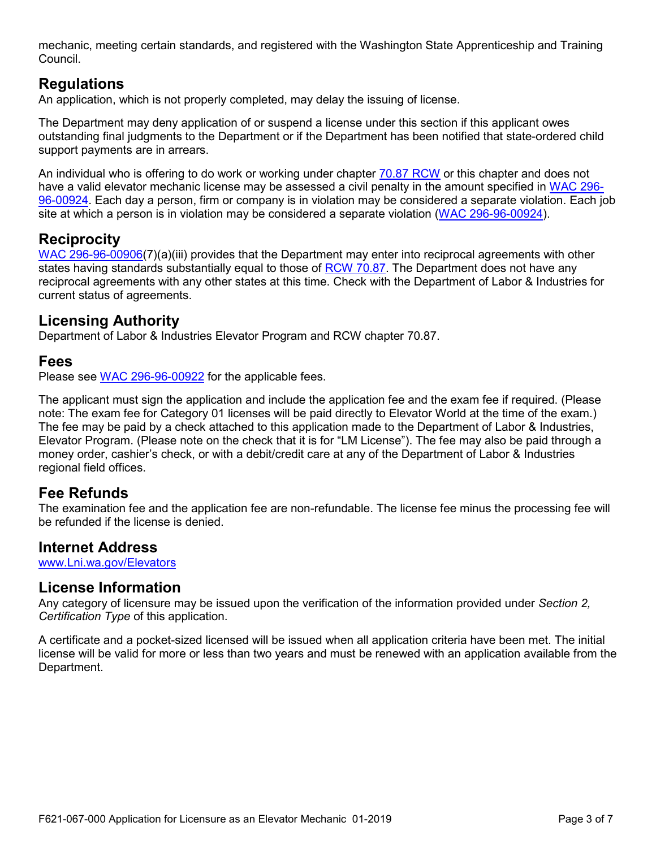mechanic, meeting certain standards, and registered with the Washington State Apprenticeship and Training Council.

# **Regulations**

An application, which is not properly completed, may delay the issuing of license.

The Department may deny application of or suspend a license under this section if this applicant owes outstanding final judgments to the Department or if the Department has been notified that state-ordered child support payments are in arrears.

An individual who is offering to do work or working under chapter [70.87 RCW](https://app.leg.wa.gov/rcw/default.aspx?cite=70.87) or this chapter and does not have a valid elevator mechanic license may be assessed a civil penalty in the amount specified in [WAC 296-](https://app.leg.wa.gov/wac/default.aspx?cite=296-96-00924) [96-00924.](https://app.leg.wa.gov/wac/default.aspx?cite=296-96-00924) Each day a person, firm or company is in violation may be considered a separate violation. Each job site at which a person is in violation may be considered a separate violation [\(WAC 296-96-00924\)](https://app.leg.wa.gov/wac/default.aspx?cite=296-96-00924).

### **Reciprocity**

[WAC 296-96-00906\(](https://app.leg.wa.gov/wac/default.aspx?cite=296-96-00906)7)(a)(iii) provides that the Department may enter into reciprocal agreements with other states having standards substantially equal to those of [RCW 70.87.](https://app.leg.wa.gov/rcw/default.aspx?cite=70.87) The Department does not have any reciprocal agreements with any other states at this time. Check with the Department of Labor & Industries for current status of agreements.

#### **Licensing Authority**

Department of Labor & Industries Elevator Program and RCW chapter 70.87.

#### **Fees**

Please see [WAC 296-96-00922](https://app.leg.wa.gov/wac/default.aspx?cite=296-96-00922) for the applicable fees.

The applicant must sign the application and include the application fee and the exam fee if required. (Please note: The exam fee for Category 01 licenses will be paid directly to Elevator World at the time of the exam.) The fee may be paid by a check attached to this application made to the Department of Labor & Industries, Elevator Program. (Please note on the check that it is for "LM License"). The fee may also be paid through a money order, cashier's check, or with a debit/credit care at any of the Department of Labor & Industries regional field offices.

#### **Fee Refunds**

The examination fee and the application fee are non-refundable. The license fee minus the processing fee will be refunded if the license is denied.

#### **Internet Address**

[www.Lni.wa.gov/Elevators](http://www.lni.wa.gov/Elevators)

#### **License Information**

Any category of licensure may be issued upon the verification of the information provided under *Section 2, Certification Type* of this application.

A certificate and a pocket-sized licensed will be issued when all application criteria have been met. The initial license will be valid for more or less than two years and must be renewed with an application available from the Department.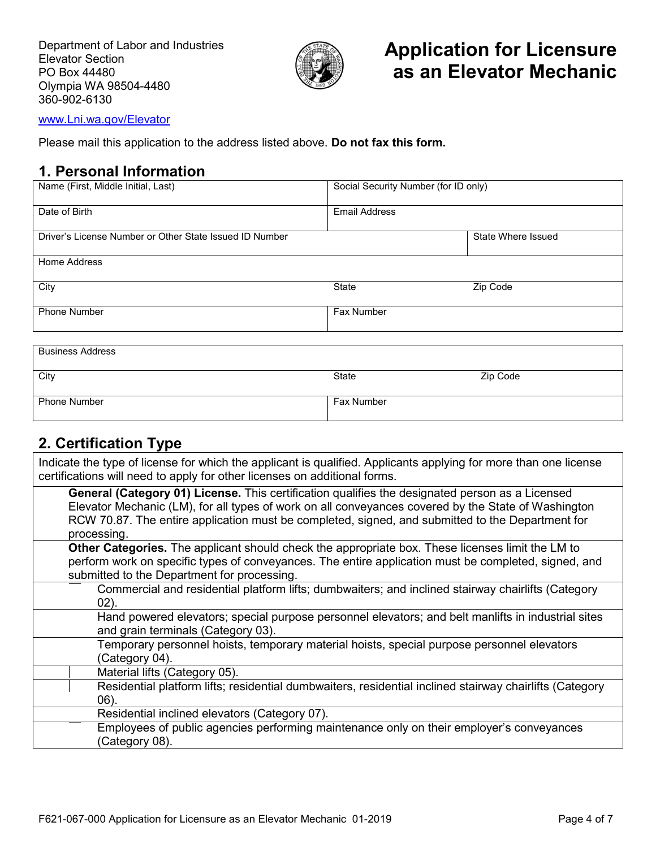

[www.Lni.wa.gov/Elevator](http://www.lni.wa.gov/Elevator)

Please mail this application to the address listed above. **Do not fax this form.**

### **1. Personal Information**

| Name (First, Middle Initial, Last)                      | Social Security Number (for ID only) |                    |
|---------------------------------------------------------|--------------------------------------|--------------------|
| Date of Birth                                           | <b>Email Address</b>                 |                    |
| Driver's License Number or Other State Issued ID Number |                                      | State Where Issued |
| Home Address                                            |                                      |                    |
| City                                                    | State                                | Zip Code           |
| <b>Phone Number</b>                                     | <b>Fax Number</b>                    |                    |
|                                                         |                                      |                    |
| <b>Business Address</b>                                 |                                      |                    |

| City                | State      | Zip Code |
|---------------------|------------|----------|
|                     |            |          |
|                     |            |          |
| <b>Phone Number</b> | Fax Number |          |
|                     |            |          |
|                     |            |          |

# **2. Certification Type**

Indicate the type of license for which the applicant is qualified. Applicants applying for more than one license certifications will need to apply for other licenses on additional forms. **General (Category 01) License.** This certification qualifies the designated person as a Licensed Elevator Mechanic (LM), for all types of work on all conveyances covered by the State of Washington

RCW 70.87. The entire application must be completed, signed, and submitted to the Department for processing. **Other Categories.** The applicant should check the appropriate box. These licenses limit the LM to

perform work on specific types of conveyances. The entire application must be completed, signed, and submitted to the Department for processing.

Commercial and residential platform lifts; dumbwaiters; and inclined stairway chairlifts (Category 02). Hand powered elevators; special purpose personnel elevators; and belt manlifts in industrial sites

and grain terminals (Category 03). Temporary personnel hoists, temporary material hoists, special purpose personnel elevators

(Category 04). Material lifts (Category 05).

Residential platform lifts; residential dumbwaiters, residential inclined stairway chairlifts (Category 06).

Residential inclined elevators (Category 07).

Employees of public agencies performing maintenance only on their employer's conveyances (Category 08).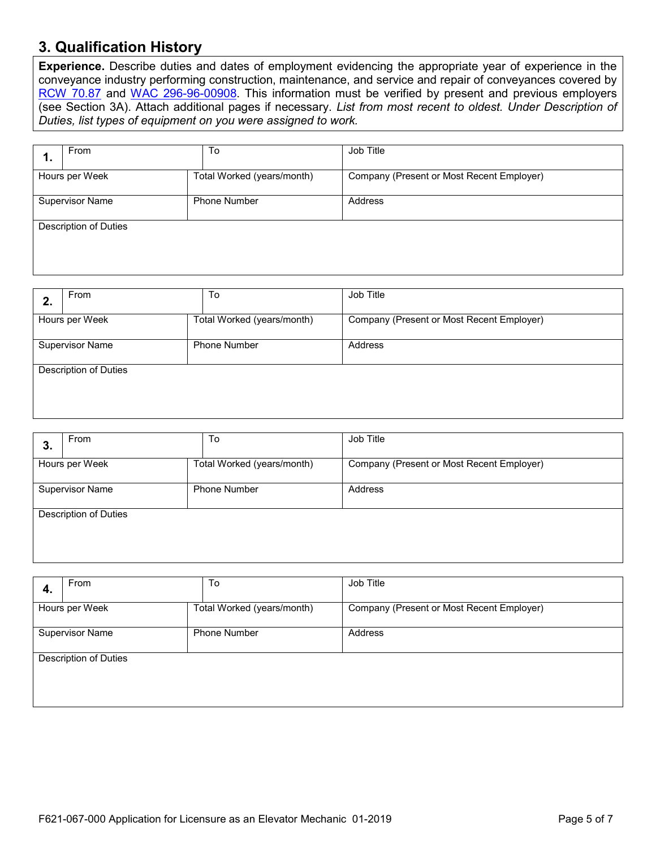### **3. Qualification History**

**Experience.** Describe duties and dates of employment evidencing the appropriate year of experience in the conveyance industry performing construction, maintenance, and service and repair of conveyances covered by [RCW 70.87](https://app.leg.wa.gov/rcw/default.aspx?cite=70.87) and [WAC 296-96-00908.](https://app.leg.wa.gov/wac/default.aspx?cite=296-96-00908) This information must be verified by present and previous employers (see Section 3A). Attach additional pages if necessary. *List from most recent to oldest. Under Description of Duties, list types of equipment on you were assigned to work.*

| ъ.                     | From                         | To                         | Job Title                                 |  |
|------------------------|------------------------------|----------------------------|-------------------------------------------|--|
|                        | Hours per Week               | Total Worked (years/month) | Company (Present or Most Recent Employer) |  |
| <b>Supervisor Name</b> |                              | <b>Phone Number</b>        | Address                                   |  |
|                        | <b>Description of Duties</b> |                            |                                           |  |
|                        |                              |                            |                                           |  |

|    | From                         | To                         | Job Title                                 |
|----|------------------------------|----------------------------|-------------------------------------------|
| z. |                              |                            |                                           |
|    | Hours per Week               | Total Worked (years/month) | Company (Present or Most Recent Employer) |
|    |                              |                            |                                           |
|    | <b>Supervisor Name</b>       | <b>Phone Number</b>        | Address                                   |
|    |                              |                            |                                           |
|    | <b>Description of Duties</b> |                            |                                           |
|    |                              |                            |                                           |
|    |                              |                            |                                           |

| Ő.                     | <b>From</b>           | To                         | Job Title                                 |
|------------------------|-----------------------|----------------------------|-------------------------------------------|
|                        | Hours per Week        | Total Worked (years/month) | Company (Present or Most Recent Employer) |
| <b>Supervisor Name</b> |                       | <b>Phone Number</b>        | Address                                   |
|                        | Description of Duties |                            |                                           |

| 4. | From                         | To                         | Job Title                                 |
|----|------------------------------|----------------------------|-------------------------------------------|
|    | Hours per Week               | Total Worked (years/month) | Company (Present or Most Recent Employer) |
|    | <b>Supervisor Name</b>       | <b>Phone Number</b>        | Address                                   |
|    | <b>Description of Duties</b> |                            |                                           |
|    |                              |                            |                                           |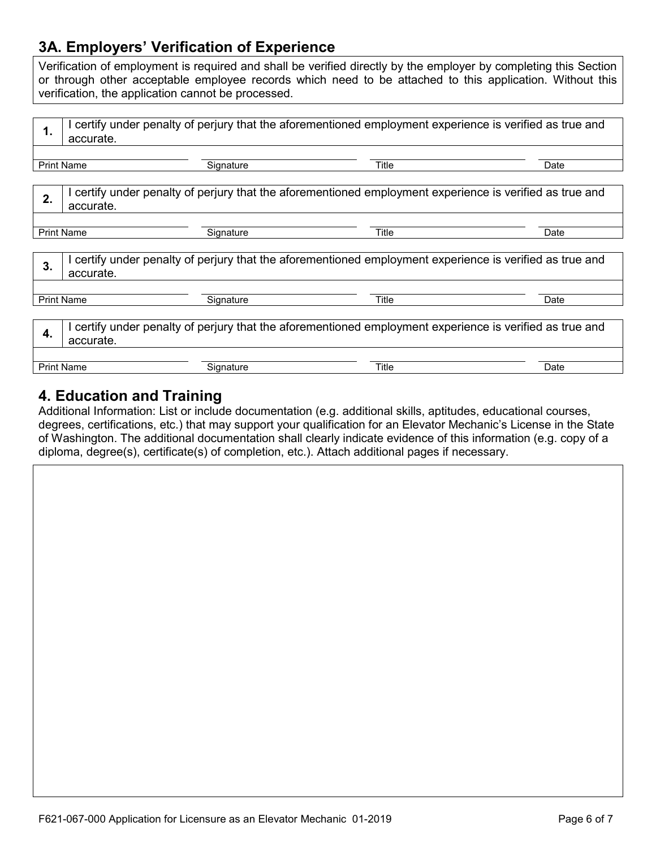# **3A. Employers' Verification of Experience**

Verification of employment is required and shall be verified directly by the employer by completing this Section or through other acceptable employee records which need to be attached to this application. Without this verification, the application cannot be processed.

| 1.                                                                                                                          | I certify under penalty of perjury that the aforementioned employment experience is verified as true and<br>accurate. |           |       |      |  |
|-----------------------------------------------------------------------------------------------------------------------------|-----------------------------------------------------------------------------------------------------------------------|-----------|-------|------|--|
|                                                                                                                             | <b>Print Name</b>                                                                                                     | Signature | Title | Date |  |
| 2.                                                                                                                          | I certify under penalty of perjury that the aforementioned employment experience is verified as true and<br>accurate. |           |       |      |  |
|                                                                                                                             | <b>Print Name</b>                                                                                                     | Signature | Title | Date |  |
| I certify under penalty of perjury that the aforementioned employment experience is verified as true and<br>3.<br>accurate. |                                                                                                                       |           |       |      |  |
|                                                                                                                             | <b>Print Name</b>                                                                                                     | Signature | Title | Date |  |
| I certify under penalty of perjury that the aforementioned employment experience is verified as true and<br>4.<br>accurate. |                                                                                                                       |           |       |      |  |
|                                                                                                                             | <b>Print Name</b>                                                                                                     | Signature | Title | Date |  |

### **4. Education and Training**

Additional Information: List or include documentation (e.g. additional skills, aptitudes, educational courses, degrees, certifications, etc.) that may support your qualification for an Elevator Mechanic's License in the State of Washington. The additional documentation shall clearly indicate evidence of this information (e.g. copy of a diploma, degree(s), certificate(s) of completion, etc.). Attach additional pages if necessary.